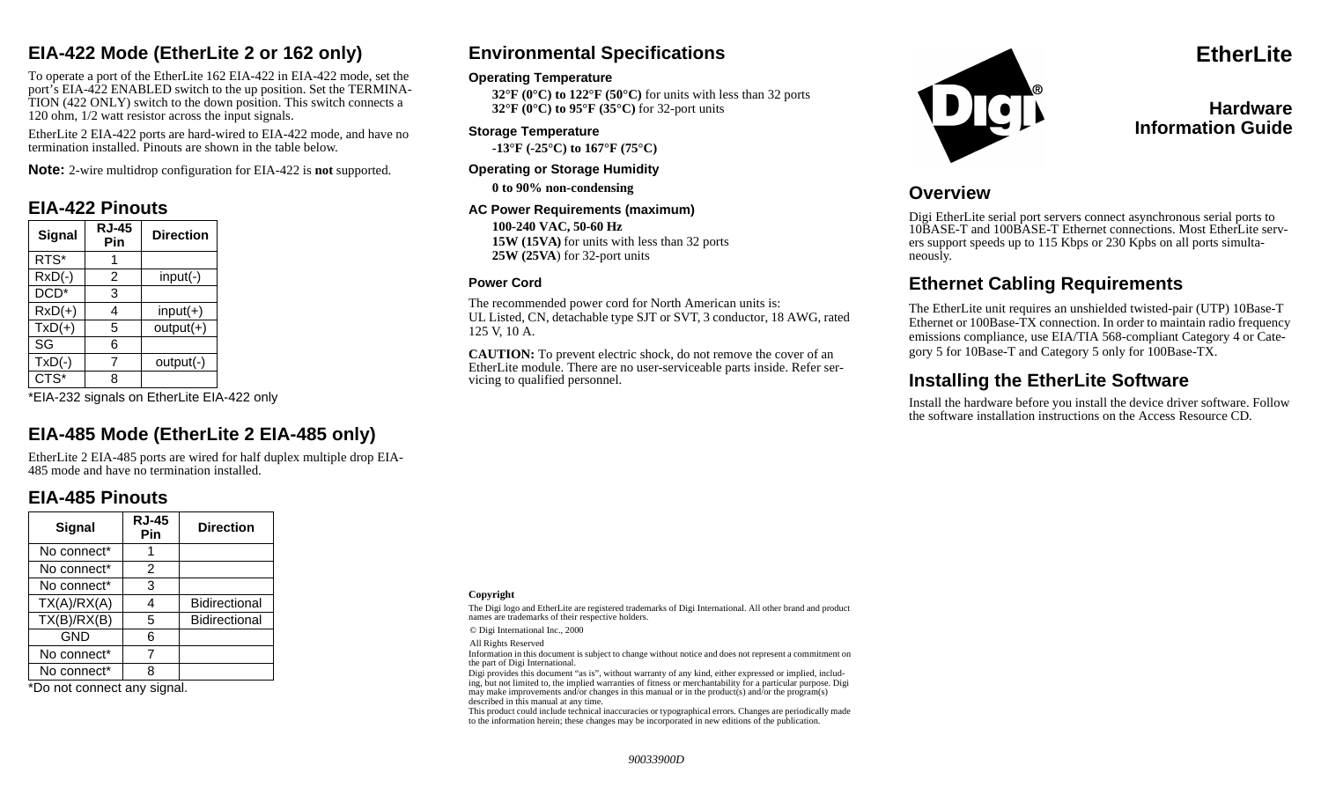## **EIA-422 Mode (EtherLite 2 or 162 only)**

To operate a port of the EtherLite 162 EIA-422 in EIA-422 mode, set the port's EIA-422 ENABLED switch to the up position. Set the TERMINA-TION (422 ONLY) switch to the down position. This switch connects a 120 ohm, 1/2 watt resistor across the input signals.

EtherLite 2 EIA-422 ports are hard-wired to EIA-422 mode, and have no termination installed. Pinouts are shown in the table below.

**Note:** 2-wire multidrop configuration for EIA-422 is **not** supported.

#### **EIA-422 Pinouts**

| <b>Signal</b>    | <b>RJ-45</b><br>Pin | <b>Direction</b> |
|------------------|---------------------|------------------|
| RTS*             |                     |                  |
| $RxD(-)$         | 2                   | $input(-)$       |
| DCD <sup>*</sup> | 3                   |                  |
| $RxD(+)$         | 4                   | $input(+)$       |
| $TxD(+)$         | 5                   | $output(+)$      |
| SG               | 6                   |                  |
| $TxD(-)$         |                     | output(-)        |
| CTS*             | 8                   |                  |

\*EIA-232 signals on EtherLite EIA-422 only

## **EIA-485 Mode (EtherLite 2 EIA-485 only)**

EtherLite 2 EIA-485 ports are wired for half duplex multiple drop EIA-485 mode and have no termination installed.

### **EIA-485 Pinouts**

| Signal                  | <b>RJ-45</b><br>Pin | <b>Direction</b>     |  |
|-------------------------|---------------------|----------------------|--|
| No connect <sup>*</sup> |                     |                      |  |
| No connect*             | 2                   |                      |  |
| No connect <sup>*</sup> | 3                   |                      |  |
| TX(A)/RX(A)             | 4                   | <b>Bidirectional</b> |  |
| TX(B)/RX(B)             | 5                   | <b>Bidirectional</b> |  |
| <b>GND</b>              | 6                   |                      |  |
| No connect*             |                     |                      |  |
| No connect*             | 8                   |                      |  |

\*Do not connect any signal.

## **Environmental Specifications**

#### **Operating Temperature**

**32°F (0°C) to 122°F (50°C)** for units with less than 32 ports **32°F (0°C) to 95°F (35°C)** for 32-port units

#### **Storage Temperature**

**-13°F (-25°C) to 167°F (75°C)**

**Operating or Storage Humidity**

**0 to 90% non-condensing**

#### **AC Power Requirements (maximum)**

**100-240 VAC, 50-60 Hz 15W (15VA)** for units with less than 32 ports **25W (25VA**) for 32-port units

#### **Power Cord**

The recommended power cord for North American units is: UL Listed, CN, detachable type SJT or SVT, 3 conductor, 18 AWG, rated 125 V, 10 A.

**CAUTION:** To prevent electric shock, do not remove the cover of an EtherLite module. There are no user-serviceable parts inside. Refer servicing to qualified personnel.



**EtherLite**

#### **Hardware Information Guide**

### **Overview**

Digi EtherLite serial port servers connect asynchronous serial ports to 10BASE-T and 100BASE-T Ethernet connections. Most EtherLite servers support speeds up to 115 Kbps or 230 Kpbs on all ports simultaneously.

## **Ethernet Cabling Requirements**

The EtherLite unit requires an unshielded twisted-pair (UTP) 10Base-T Ethernet or 100Base-TX connection. In order to maintain radio frequency emissions compliance, use EIA/TIA 568-compliant Category 4 or Category 5 for 10Base-T and Category 5 only for 100Base-TX.

### **Installing the EtherLite Software**

Install the hardware before you install the device driver software. Follow the software installation instructions on the Access Resource CD.

#### **Copyright**

The Digi logo and EtherLite are registered trademarks of Digi International. All other brand and product names are trademarks of their respective holders. © Digi International Inc., 2000

All Rights Reserved

Information in this document is subject to change without notice and does not represent a commitment on the part of Digi International.

Digi provides this document "as is", without warranty of any kind, either expressed or implied, including, but not limited to, the implied warranties of fitness or merchantability for a particular purpose. Digi may make improvements and/or changes in this manual or in the product(s) and/or the program(s) described in this manual at any time.

This product could include technical inaccuracies or typographical errors. Changes are periodically made to the information herein; these changes may be incorporated in new editions of the publication.